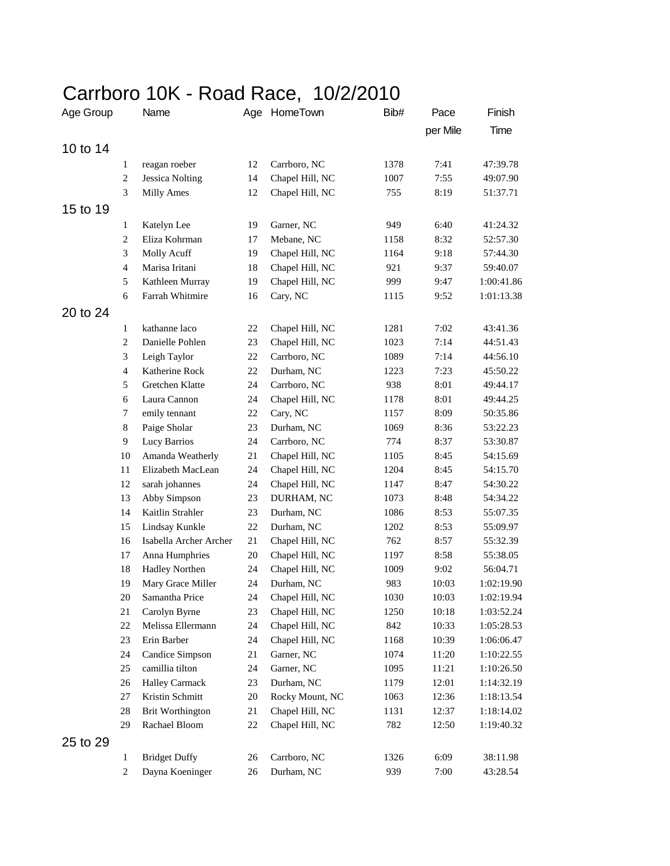## Carrboro 10K - Road Race, 10/2/2010

| Age Group |                | Name                    |        | Age HomeTown    | Bib# | Pace     | Finish     |
|-----------|----------------|-------------------------|--------|-----------------|------|----------|------------|
|           |                |                         |        |                 |      | per Mile | Time       |
| 10 to 14  |                |                         |        |                 |      |          |            |
|           | 1              | reagan roeber           | 12     | Carrboro, NC    | 1378 | 7:41     | 47:39.78   |
|           | $\mathfrak{2}$ | <b>Jessica Nolting</b>  | 14     | Chapel Hill, NC | 1007 | 7:55     | 49:07.90   |
|           | 3              | <b>Milly Ames</b>       | 12     | Chapel Hill, NC | 755  | 8:19     | 51:37.71   |
| 15 to 19  |                |                         |        |                 |      |          |            |
|           | 1              | Katelyn Lee             | 19     | Garner, NC      | 949  | 6:40     | 41:24.32   |
|           | $\overline{2}$ | Eliza Kohrman           | $17\,$ | Mebane, NC      | 1158 | 8:32     | 52:57.30   |
|           | 3              | Molly Acuff             | 19     | Chapel Hill, NC | 1164 | 9:18     | 57:44.30   |
|           | $\overline{4}$ | Marisa Iritani          | 18     | Chapel Hill, NC | 921  | 9:37     | 59:40.07   |
|           | 5              | Kathleen Murray         | 19     | Chapel Hill, NC | 999  | 9:47     | 1:00:41.86 |
|           | 6              | Farrah Whitmire         | 16     | Cary, NC        | 1115 | 9:52     | 1:01:13.38 |
| 20 to 24  |                |                         |        |                 |      |          |            |
|           | 1              | kathanne laco           | 22     | Chapel Hill, NC | 1281 | 7:02     | 43:41.36   |
|           | $\overline{2}$ | Danielle Pohlen         | 23     | Chapel Hill, NC | 1023 | 7:14     | 44:51.43   |
|           | 3              | Leigh Taylor            | 22     | Carrboro, NC    | 1089 | 7:14     | 44:56.10   |
|           | $\overline{4}$ | Katherine Rock          | 22     | Durham, NC      | 1223 | 7:23     | 45:50.22   |
|           | 5              | <b>Gretchen Klatte</b>  | 24     | Carrboro, NC    | 938  | 8:01     | 49:44.17   |
|           | 6              | Laura Cannon            | 24     | Chapel Hill, NC | 1178 | 8:01     | 49:44.25   |
|           | 7              | emily tennant           | 22     | Cary, NC        | 1157 | 8:09     | 50:35.86   |
|           | $\,8\,$        | Paige Sholar            | 23     | Durham, NC      | 1069 | 8:36     | 53:22.23   |
|           | 9              | Lucy Barrios            | 24     | Carrboro, NC    | 774  | 8:37     | 53:30.87   |
|           | 10             | Amanda Weatherly        | 21     | Chapel Hill, NC | 1105 | 8:45     | 54:15.69   |
|           | 11             | Elizabeth MacLean       | 24     | Chapel Hill, NC | 1204 | 8:45     | 54:15.70   |
|           | 12             | sarah johannes          | 24     | Chapel Hill, NC | 1147 | 8:47     | 54:30.22   |
|           | 13             | Abby Simpson            | 23     | DURHAM, NC      | 1073 | 8:48     | 54:34.22   |
|           | 14             | Kaitlin Strahler        | 23     | Durham, NC      | 1086 | 8:53     | 55:07.35   |
|           | 15             | Lindsay Kunkle          | 22     | Durham, NC      | 1202 | 8:53     | 55:09.97   |
|           | 16             | Isabella Archer Archer  | 21     | Chapel Hill, NC | 762  | 8:57     | 55:32.39   |
|           | 17             | Anna Humphries          | 20     | Chapel Hill, NC | 1197 | 8:58     | 55:38.05   |
|           | 18             | <b>Hadley Northen</b>   | 24     | Chapel Hill, NC | 1009 | 9:02     | 56:04.71   |
|           | 19             | Mary Grace Miller       | 24     | Durham, NC      | 983  | 10:03    | 1:02:19.90 |
|           | 20             | Samantha Price          | 24     | Chapel Hill, NC | 1030 | 10:03    | 1:02:19.94 |
|           | 21             | Carolyn Byrne           | 23     | Chapel Hill, NC | 1250 | 10:18    | 1:03:52.24 |
|           | 22             | Melissa Ellermann       | 24     | Chapel Hill, NC | 842  | 10:33    | 1:05:28.53 |
|           | 23             | Erin Barber             | 24     | Chapel Hill, NC | 1168 | 10:39    | 1:06:06.47 |
|           | 24             | Candice Simpson         | 21     | Garner, NC      | 1074 | 11:20    | 1:10:22.55 |
|           | 25             | camillia tilton         | 24     | Garner, NC      | 1095 | 11:21    | 1:10:26.50 |
|           | 26             | <b>Halley Carmack</b>   | 23     | Durham, NC      | 1179 | 12:01    | 1:14:32.19 |
|           | 27             | Kristin Schmitt         | 20     | Rocky Mount, NC | 1063 | 12:36    | 1:18:13.54 |
|           | 28             | <b>Brit Worthington</b> | 21     | Chapel Hill, NC | 1131 | 12:37    | 1:18:14.02 |
|           | 29             | Rachael Bloom           | 22     | Chapel Hill, NC | 782  | 12:50    | 1:19:40.32 |
| 25 to 29  |                |                         |        |                 |      |          |            |
|           | $\mathbf{1}$   | <b>Bridget Duffy</b>    | 26     | Carrboro, NC    | 1326 | 6:09     | 38:11.98   |
|           | $\overline{c}$ | Dayna Koeninger         | 26     | Durham, NC      | 939  | 7:00     | 43:28.54   |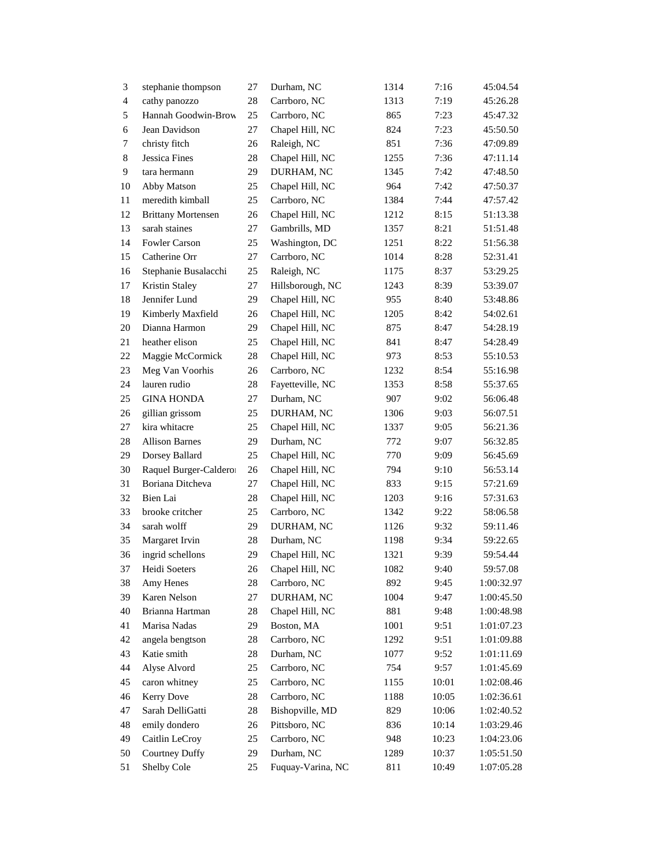| $\mathfrak{Z}$ | stephanie thompson        | 27 | Durham, NC        | 1314 | 7:16  | 45:04.54   |
|----------------|---------------------------|----|-------------------|------|-------|------------|
| $\overline{4}$ | cathy panozzo             | 28 | Carrboro, NC      | 1313 | 7:19  | 45:26.28   |
| 5              | Hannah Goodwin-Brow       | 25 | Carrboro, NC      | 865  | 7:23  | 45:47.32   |
| 6              | Jean Davidson             | 27 | Chapel Hill, NC   | 824  | 7:23  | 45:50.50   |
| 7              | christy fitch             | 26 | Raleigh, NC       | 851  | 7:36  | 47:09.89   |
| 8              | Jessica Fines             | 28 | Chapel Hill, NC   | 1255 | 7:36  | 47:11.14   |
| 9              | tara hermann              | 29 | DURHAM, NC        | 1345 | 7:42  | 47:48.50   |
| 10             | Abby Matson               | 25 | Chapel Hill, NC   | 964  | 7:42  | 47:50.37   |
| 11             | meredith kimball          | 25 | Carrboro, NC      | 1384 | 7:44  | 47:57.42   |
| 12             | <b>Brittany Mortensen</b> | 26 | Chapel Hill, NC   | 1212 | 8:15  | 51:13.38   |
| 13             | sarah staines             | 27 | Gambrills, MD     | 1357 | 8:21  | 51:51.48   |
| 14             | <b>Fowler Carson</b>      | 25 | Washington, DC    | 1251 | 8:22  | 51:56.38   |
| 15             | Catherine Orr             | 27 | Carrboro, NC      | 1014 | 8:28  | 52:31.41   |
| 16             | Stephanie Busalacchi      | 25 | Raleigh, NC       | 1175 | 8:37  | 53:29.25   |
| 17             | Kristin Staley            | 27 | Hillsborough, NC  | 1243 | 8:39  | 53:39.07   |
| 18             | Jennifer Lund             | 29 | Chapel Hill, NC   | 955  | 8:40  | 53:48.86   |
| 19             | Kimberly Maxfield         | 26 | Chapel Hill, NC   | 1205 | 8:42  | 54:02.61   |
| 20             | Dianna Harmon             | 29 | Chapel Hill, NC   | 875  | 8:47  | 54:28.19   |
| 21             | heather elison            | 25 | Chapel Hill, NC   | 841  | 8:47  | 54:28.49   |
| 22             | Maggie McCormick          | 28 | Chapel Hill, NC   | 973  | 8:53  | 55:10.53   |
| 23             | Meg Van Voorhis           | 26 | Carrboro, NC      | 1232 | 8:54  | 55:16.98   |
| 24             | lauren rudio              | 28 | Fayetteville, NC  | 1353 | 8:58  | 55:37.65   |
| 25             | <b>GINA HONDA</b>         | 27 | Durham, NC        | 907  | 9:02  | 56:06.48   |
| 26             | gillian grissom           | 25 | DURHAM, NC        | 1306 | 9:03  | 56:07.51   |
| 27             | kira whitacre             | 25 | Chapel Hill, NC   | 1337 | 9:05  | 56:21.36   |
| 28             | <b>Allison Barnes</b>     | 29 | Durham, NC        | 772  | 9:07  | 56:32.85   |
| 29             | Dorsey Ballard            | 25 | Chapel Hill, NC   | 770  | 9:09  | 56:45.69   |
| 30             | Raquel Burger-Caldero     | 26 | Chapel Hill, NC   | 794  | 9:10  | 56:53.14   |
| 31             | Boriana Ditcheva          | 27 | Chapel Hill, NC   | 833  | 9:15  | 57:21.69   |
| 32             | Bien Lai                  | 28 | Chapel Hill, NC   | 1203 | 9:16  | 57:31.63   |
| 33             | brooke critcher           | 25 | Carrboro, NC      | 1342 | 9:22  | 58:06.58   |
| 34             | sarah wolff               | 29 | DURHAM, NC        | 1126 | 9:32  | 59:11.46   |
| 35             | Margaret Irvin            | 28 | Durham, NC        | 1198 | 9:34  | 59:22.65   |
| 36             | ingrid schellons          | 29 | Chapel Hill, NC   | 1321 | 9:39  | 59:54.44   |
| 37             | Heidi Soeters             | 26 | Chapel Hill, NC   | 1082 | 9:40  | 59:57.08   |
| 38             | Amy Henes                 | 28 | Carrboro, NC      | 892  | 9:45  | 1:00:32.97 |
| 39             | Karen Nelson              | 27 | DURHAM, NC        | 1004 | 9:47  | 1:00:45.50 |
| 40             | Brianna Hartman           | 28 | Chapel Hill, NC   | 881  | 9:48  | 1:00:48.98 |
| 41             | Marisa Nadas              | 29 | Boston, MA        | 1001 | 9:51  | 1:01:07.23 |
| 42             | angela bengtson           | 28 | Carrboro, NC      | 1292 | 9:51  | 1:01:09.88 |
| 43             | Katie smith               | 28 | Durham, NC        | 1077 | 9:52  | 1:01:11.69 |
| 44             | Alyse Alvord              | 25 | Carrboro, NC      | 754  | 9:57  | 1:01:45.69 |
| 45             | caron whitney             | 25 | Carrboro, NC      | 1155 | 10:01 | 1:02:08.46 |
| 46             | Kerry Dove                | 28 | Carrboro, NC      | 1188 | 10:05 | 1:02:36.61 |
| 47             | Sarah DelliGatti          | 28 | Bishopville, MD   | 829  | 10:06 | 1:02:40.52 |
| 48             | emily dondero             | 26 | Pittsboro, NC     | 836  | 10:14 | 1:03:29.46 |
| 49             | Caitlin LeCroy            | 25 | Carrboro, NC      | 948  | 10:23 | 1:04:23.06 |
| 50             | <b>Courtney Duffy</b>     | 29 | Durham, NC        | 1289 | 10:37 | 1:05:51.50 |
| 51             | Shelby Cole               | 25 | Fuquay-Varina, NC | 811  | 10:49 | 1:07:05.28 |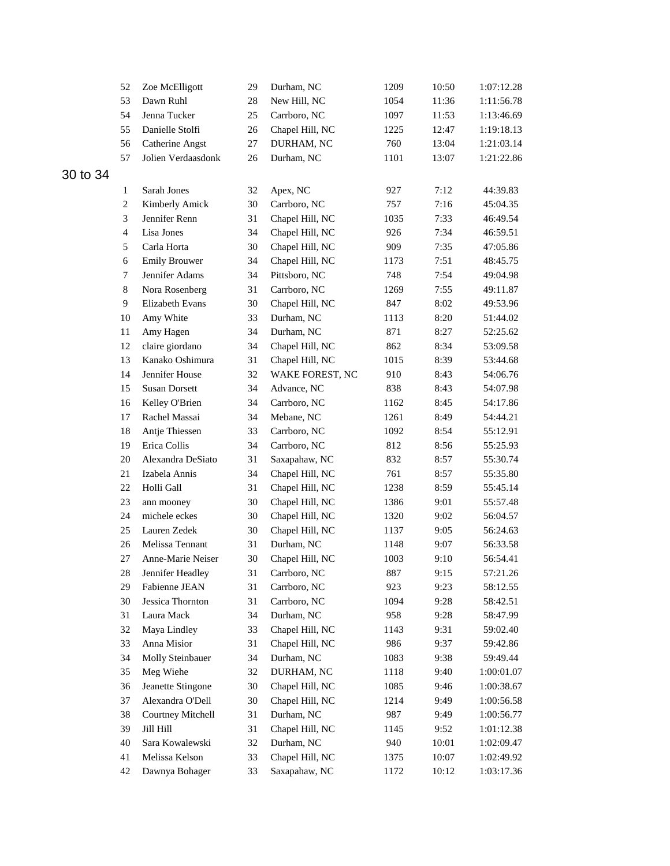|          | 52             | Zoe McElligott               | 29       | Durham, NC                 | 1209         | 10:50          | 1:07:12.28               |
|----------|----------------|------------------------------|----------|----------------------------|--------------|----------------|--------------------------|
|          | 53             | Dawn Ruhl                    | 28       | New Hill, NC               | 1054         | 11:36          | 1:11:56.78               |
|          | 54             | Jenna Tucker                 | 25       | Carrboro, NC               | 1097         | 11:53          | 1:13:46.69               |
|          | 55             | Danielle Stolfi              | 26       | Chapel Hill, NC            | 1225         | 12:47          | 1:19:18.13               |
|          | 56             | Catherine Angst              | 27       | DURHAM, NC                 | 760          | 13:04          | 1:21:03.14               |
|          | 57             | Jolien Verdaasdonk           | 26       | Durham, NC                 | 1101         | 13:07          | 1:21:22.86               |
| 30 to 34 |                |                              |          |                            |              |                |                          |
|          | $\mathbf{1}$   | Sarah Jones                  | 32       | Apex, NC                   | 927          | 7:12           | 44:39.83                 |
|          | $\overline{c}$ | Kimberly Amick               | 30       | Carrboro, NC               | 757          | 7:16           | 45:04.35                 |
|          | 3              | Jennifer Renn                | 31       | Chapel Hill, NC            | 1035         | 7:33           | 46:49.54                 |
|          | $\overline{4}$ | Lisa Jones                   | 34       | Chapel Hill, NC            | 926          | 7:34           | 46:59.51                 |
|          | 5              | Carla Horta                  | 30       | Chapel Hill, NC            | 909          | 7:35           | 47:05.86                 |
|          | 6              | <b>Emily Brouwer</b>         | 34       | Chapel Hill, NC            | 1173         | 7:51           | 48:45.75                 |
|          | $\tau$         | Jennifer Adams               | 34       | Pittsboro, NC              | 748          | 7:54           | 49:04.98                 |
|          | $\,8\,$        | Nora Rosenberg               | 31       | Carrboro, NC               | 1269         | 7:55           | 49:11.87                 |
|          | $\overline{9}$ | Elizabeth Evans              | 30       | Chapel Hill, NC            | 847          | 8:02           | 49:53.96                 |
|          | 10             | Amy White                    | 33       | Durham, NC                 | 1113         | 8:20           | 51:44.02                 |
|          | 11             | Amy Hagen                    | 34       | Durham, NC                 | 871          | 8:27           | 52:25.62                 |
|          | 12             | claire giordano              | 34       | Chapel Hill, NC            | 862          | 8:34           | 53:09.58                 |
|          | 13             | Kanako Oshimura              | 31       | Chapel Hill, NC            | 1015         | 8:39           | 53:44.68                 |
|          | 14             | Jennifer House               | 32       | WAKE FOREST, NC            | 910          | 8:43           | 54:06.76                 |
|          | 15             | <b>Susan Dorsett</b>         | 34       | Advance, NC                | 838          | 8:43           | 54:07.98                 |
|          | 16             | Kelley O'Brien               | 34       | Carrboro, NC               | 1162         | 8:45           | 54:17.86                 |
|          | 17             | Rachel Massai                | 34       |                            | 1261         | 8:49           | 54:44.21                 |
|          | 18             | Antje Thiessen               | 33       | Mebane, NC<br>Carrboro, NC | 1092         | 8:54           |                          |
|          | 19             | Erica Collis                 | 34       | Carrboro, NC               | 812          | 8:56           | 55:12.91<br>55:25.93     |
|          | 20             | Alexandra DeSiato            | 31       | Saxapahaw, NC              | 832          | 8:57           | 55:30.74                 |
|          | 21             | Izabela Annis                | 34       | Chapel Hill, NC            | 761          | 8:57           | 55:35.80                 |
|          | 22             | Holli Gall                   | 31       | Chapel Hill, NC            | 1238         | 8:59           | 55:45.14                 |
|          | 23             | ann mooney                   | 30       | Chapel Hill, NC            | 1386         | 9:01           | 55:57.48                 |
|          | 24             | michele eckes                | 30       | Chapel Hill, NC            | 1320         | 9:02           | 56:04.57                 |
|          | 25             | Lauren Zedek                 | 30       | Chapel Hill, NC            | 1137         | 9:05           | 56:24.63                 |
|          | 26             | Melissa Tennant              | 31       | Durham, NC                 | 1148         | 9:07           | 56:33.58                 |
|          | 27             | Anne-Marie Neiser            | 30       | Chapel Hill, NC            | 1003         | 9:10           | 56:54.41                 |
|          | 28             | Jennifer Headley             | 31       | Carrboro, NC               | 887          | 9:15           | 57:21.26                 |
|          | 29             | Fabienne JEAN                | 31       | Carrboro, NC               | 923          | 9:23           | 58:12.55                 |
|          | 30             | Jessica Thornton             | 31       | Carrboro, NC               | 1094         | 9:28           | 58:42.51                 |
|          | 31             | Laura Mack                   | 34       | Durham, NC                 | 958          | 9:28           | 58:47.99                 |
|          | 32             | Maya Lindley                 | 33       | Chapel Hill, NC            | 1143         | 9:31           | 59:02.40                 |
|          | 33             | Anna Misior                  | 31       | Chapel Hill, NC            | 986          | 9:37           | 59:42.86                 |
|          | 34             | Molly Steinbauer             | 34       | Durham, NC                 | 1083         | 9:38           | 59:49.44                 |
|          | 35             | Meg Wiehe                    | 32       | DURHAM, NC                 | 1118         | 9:40           | 1:00:01.07               |
|          | 36             | Jeanette Stingone            | 30       | Chapel Hill, NC            | 1085         | 9:46           | 1:00:38.67               |
|          | 37             | Alexandra O'Dell             | 30       | Chapel Hill, NC            | 1214         | 9:49           | 1:00:56.58               |
|          | 38             | <b>Courtney Mitchell</b>     | 31       | Durham, NC                 | 987          | 9:49           |                          |
|          |                |                              |          | Chapel Hill, NC            |              |                | 1:00:56.77               |
|          | 39<br>40       | Jill Hill<br>Sara Kowalewski | 31<br>32 | Durham, NC                 | 1145<br>940  | 9:52<br>10:01  | 1:01:12.38<br>1:02:09.47 |
|          | 41             | Melissa Kelson               |          | Chapel Hill, NC            |              |                |                          |
|          | 42             | Dawnya Bohager               | 33<br>33 | Saxapahaw, NC              | 1375<br>1172 | 10:07<br>10:12 | 1:02:49.92<br>1:03:17.36 |
|          |                |                              |          |                            |              |                |                          |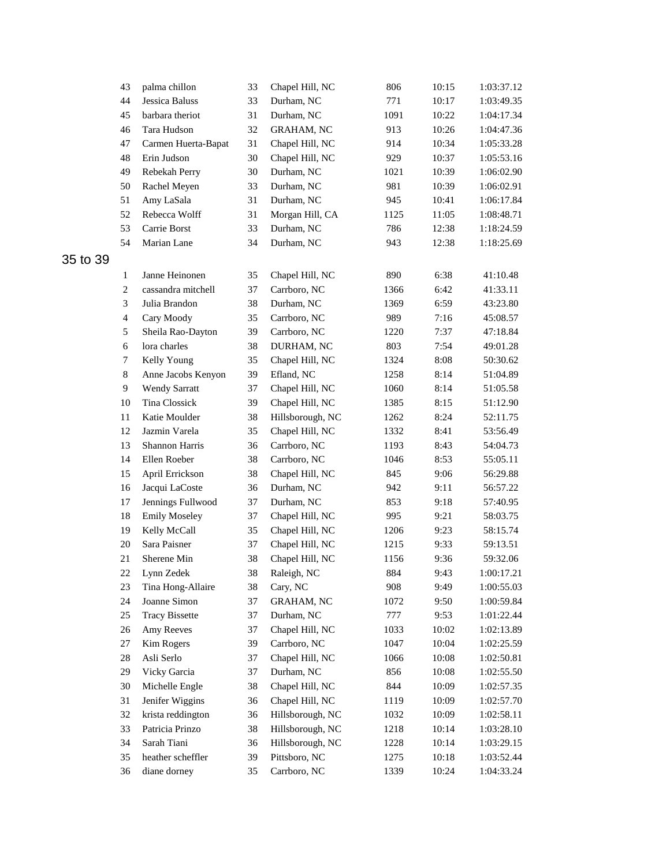|          | 43                       | palma chillon         | 33 | Chapel Hill, NC   | 806  | 10:15 | 1:03:37.12 |
|----------|--------------------------|-----------------------|----|-------------------|------|-------|------------|
|          | 44                       | <b>Jessica Baluss</b> | 33 | Durham, NC        | 771  | 10:17 | 1:03:49.35 |
|          | 45                       | barbara theriot       | 31 | Durham, NC        | 1091 | 10:22 | 1:04:17.34 |
|          | 46                       | Tara Hudson           | 32 | <b>GRAHAM, NC</b> | 913  | 10:26 | 1:04:47.36 |
|          | 47                       | Carmen Huerta-Bapat   | 31 | Chapel Hill, NC   | 914  | 10:34 | 1:05:33.28 |
|          | 48                       | Erin Judson           | 30 | Chapel Hill, NC   | 929  | 10:37 | 1:05:53.16 |
|          | 49                       | Rebekah Perry         | 30 | Durham, NC        | 1021 | 10:39 | 1:06:02.90 |
|          | 50                       | Rachel Meyen          | 33 | Durham, NC        | 981  | 10:39 | 1:06:02.91 |
|          | 51                       | Amy LaSala            | 31 | Durham, NC        | 945  | 10:41 | 1:06:17.84 |
|          | 52                       | Rebecca Wolff         | 31 | Morgan Hill, CA   | 1125 | 11:05 | 1:08:48.71 |
|          | 53                       | Carrie Borst          | 33 | Durham, NC        | 786  | 12:38 | 1:18:24.59 |
|          | 54                       | Marian Lane           | 34 | Durham, NC        | 943  | 12:38 | 1:18:25.69 |
| 35 to 39 |                          |                       |    |                   |      |       |            |
|          | $\mathbf{1}$             | Janne Heinonen        | 35 | Chapel Hill, NC   | 890  | 6:38  | 41:10.48   |
|          | $\overline{2}$           | cassandra mitchell    | 37 | Carrboro, NC      | 1366 | 6:42  | 41:33.11   |
|          | 3                        | Julia Brandon         | 38 | Durham, NC        | 1369 | 6:59  | 43:23.80   |
|          | $\overline{\mathcal{A}}$ | Cary Moody            | 35 | Carrboro, NC      | 989  | 7:16  | 45:08.57   |
|          | 5                        | Sheila Rao-Dayton     | 39 | Carrboro, NC      | 1220 | 7:37  | 47:18.84   |
|          | 6                        | lora charles          | 38 | DURHAM, NC        | 803  | 7:54  | 49:01.28   |
|          | 7                        | Kelly Young           | 35 | Chapel Hill, NC   | 1324 | 8:08  | 50:30.62   |
|          | $\,8\,$                  | Anne Jacobs Kenyon    | 39 | Efland, NC        | 1258 | 8:14  | 51:04.89   |
|          | 9                        | <b>Wendy Sarratt</b>  | 37 | Chapel Hill, NC   | 1060 | 8:14  | 51:05.58   |
|          | 10                       | Tina Clossick         | 39 | Chapel Hill, NC   | 1385 | 8:15  | 51:12.90   |
|          | 11                       | Katie Moulder         | 38 | Hillsborough, NC  | 1262 | 8:24  | 52:11.75   |
|          | 12                       | Jazmin Varela         | 35 | Chapel Hill, NC   | 1332 | 8:41  | 53:56.49   |
|          | 13                       | Shannon Harris        | 36 | Carrboro, NC      | 1193 | 8:43  | 54:04.73   |
|          | 14                       | Ellen Roeber          | 38 | Carrboro, NC      | 1046 | 8:53  | 55:05.11   |
|          | 15                       | April Errickson       | 38 | Chapel Hill, NC   | 845  | 9:06  | 56:29.88   |
|          | 16                       | Jacqui LaCoste        | 36 | Durham, NC        | 942  | 9:11  | 56:57.22   |
|          | 17                       | Jennings Fullwood     | 37 | Durham, NC        | 853  | 9:18  | 57:40.95   |
|          | 18                       | <b>Emily Moseley</b>  | 37 | Chapel Hill, NC   | 995  | 9:21  | 58:03.75   |
|          | 19                       | Kelly McCall          | 35 | Chapel Hill, NC   | 1206 | 9:23  | 58:15.74   |
|          | 20                       | Sara Paisner          | 37 | Chapel Hill, NC   | 1215 | 9:33  | 59:13.51   |
|          | 21                       | Sherene Min           | 38 | Chapel Hill, NC   | 1156 | 9:36  | 59:32.06   |
|          | $22\,$                   | Lynn Zedek            | 38 | Raleigh, NC       | 884  | 9:43  | 1:00:17.21 |
|          | 23                       | Tina Hong-Allaire     | 38 | Cary, NC          | 908  | 9:49  | 1:00:55.03 |
|          | 24                       | Joanne Simon          | 37 | GRAHAM, NC        | 1072 | 9:50  | 1:00:59.84 |
|          | 25                       | <b>Tracy Bissette</b> | 37 | Durham, NC        | 777  | 9:53  | 1:01:22.44 |
|          | 26                       | Amy Reeves            | 37 | Chapel Hill, NC   | 1033 | 10:02 | 1:02:13.89 |
|          | 27                       | Kim Rogers            | 39 | Carrboro, NC      | 1047 | 10:04 | 1:02:25.59 |
|          | 28                       | Asli Serlo            | 37 | Chapel Hill, NC   | 1066 | 10:08 | 1:02:50.81 |
|          | 29                       | Vicky Garcia          | 37 | Durham, NC        | 856  | 10:08 | 1:02:55.50 |
|          | 30                       | Michelle Engle        | 38 | Chapel Hill, NC   | 844  | 10:09 | 1:02:57.35 |
|          | 31                       | Jenifer Wiggins       | 36 | Chapel Hill, NC   | 1119 | 10:09 | 1:02:57.70 |
|          | 32                       | krista reddington     | 36 | Hillsborough, NC  | 1032 | 10:09 | 1:02:58.11 |
|          | 33                       | Patricia Prinzo       | 38 | Hillsborough, NC  | 1218 | 10:14 | 1:03:28.10 |
|          | 34                       | Sarah Tiani           | 36 | Hillsborough, NC  | 1228 | 10:14 | 1:03:29.15 |
|          | 35                       | heather scheffler     | 39 | Pittsboro, NC     | 1275 | 10:18 | 1:03:52.44 |
|          | 36                       | diane dorney          | 35 | Carrboro, NC      | 1339 | 10:24 | 1:04:33.24 |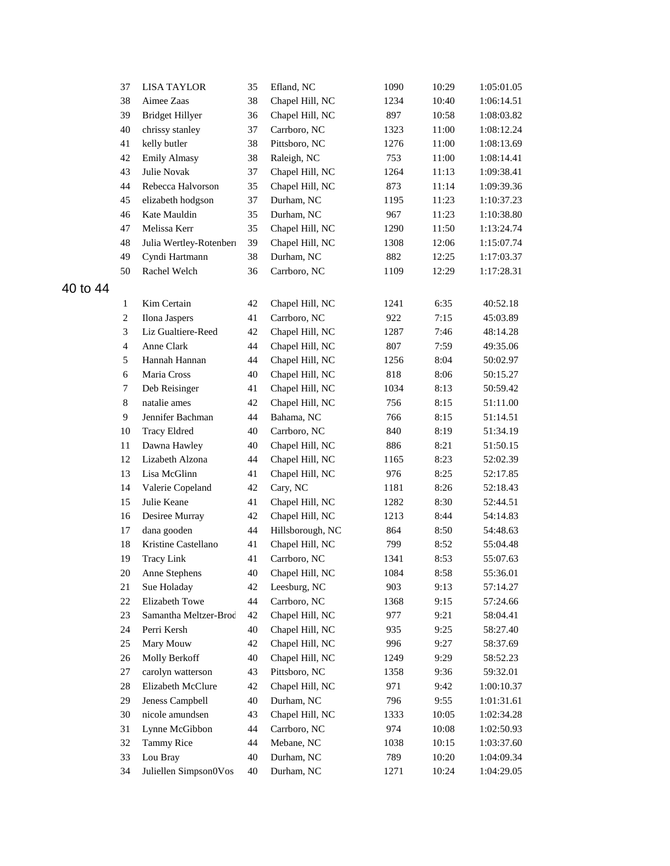|          | 37             | <b>LISA TAYLOR</b>     | 35 | Efland, NC       | 1090 | 10:29 | 1:05:01.05 |
|----------|----------------|------------------------|----|------------------|------|-------|------------|
|          | 38             | Aimee Zaas             | 38 | Chapel Hill, NC  | 1234 | 10:40 | 1:06:14.51 |
|          | 39             | <b>Bridget Hillyer</b> | 36 | Chapel Hill, NC  | 897  | 10:58 | 1:08:03.82 |
|          | 40             | chrissy stanley        | 37 | Carrboro, NC     | 1323 | 11:00 | 1:08:12.24 |
|          | 41             | kelly butler           | 38 | Pittsboro, NC    | 1276 | 11:00 | 1:08:13.69 |
|          | 42             | <b>Emily Almasy</b>    | 38 | Raleigh, NC      | 753  | 11:00 | 1:08:14.41 |
|          | 43             | Julie Novak            | 37 | Chapel Hill, NC  | 1264 | 11:13 | 1:09:38.41 |
|          | 44             | Rebecca Halvorson      | 35 | Chapel Hill, NC  | 873  | 11:14 | 1:09:39.36 |
|          | 45             | elizabeth hodgson      | 37 | Durham, NC       | 1195 | 11:23 | 1:10:37.23 |
|          | 46             | Kate Mauldin           | 35 | Durham, NC       | 967  | 11:23 | 1:10:38.80 |
|          | 47             | Melissa Kerr           | 35 | Chapel Hill, NC  | 1290 | 11:50 | 1:13:24.74 |
|          | 48             | Julia Wertley-Rotenber | 39 | Chapel Hill, NC  | 1308 | 12:06 | 1:15:07.74 |
|          | 49             | Cyndi Hartmann         | 38 | Durham, NC       | 882  | 12:25 | 1:17:03.37 |
|          | 50             | Rachel Welch           | 36 | Carrboro, NC     | 1109 | 12:29 | 1:17:28.31 |
| 40 to 44 |                |                        |    |                  |      |       |            |
|          | $\mathbf{1}$   | Kim Certain            | 42 | Chapel Hill, NC  | 1241 | 6:35  | 40:52.18   |
|          | $\overline{c}$ | Ilona Jaspers          | 41 | Carrboro, NC     | 922  | 7:15  | 45:03.89   |
|          | 3              | Liz Gualtiere-Reed     | 42 | Chapel Hill, NC  | 1287 | 7:46  | 48:14.28   |
|          | $\overline{4}$ | Anne Clark             | 44 | Chapel Hill, NC  | 807  | 7:59  | 49:35.06   |
|          | 5              | Hannah Hannan          | 44 | Chapel Hill, NC  | 1256 | 8:04  | 50:02.97   |
|          | $\sqrt{6}$     | Maria Cross            | 40 | Chapel Hill, NC  | 818  | 8:06  | 50:15.27   |
|          | $\tau$         | Deb Reisinger          | 41 | Chapel Hill, NC  | 1034 | 8:13  | 50:59.42   |
|          | $8\,$          | natalie ames           | 42 | Chapel Hill, NC  | 756  | 8:15  | 51:11.00   |
|          | 9              | Jennifer Bachman       | 44 | Bahama, NC       | 766  | 8:15  | 51:14.51   |
|          | 10             | <b>Tracy Eldred</b>    | 40 | Carrboro, NC     | 840  | 8:19  | 51:34.19   |
|          | 11             | Dawna Hawley           | 40 | Chapel Hill, NC  | 886  | 8:21  | 51:50.15   |
|          | 12             | Lizabeth Alzona        | 44 | Chapel Hill, NC  | 1165 | 8:23  | 52:02.39   |
|          | 13             | Lisa McGlinn           | 41 | Chapel Hill, NC  | 976  | 8:25  | 52:17.85   |
|          | 14             | Valerie Copeland       | 42 | Cary, NC         | 1181 | 8:26  | 52:18.43   |
|          | 15             | Julie Keane            | 41 | Chapel Hill, NC  | 1282 | 8:30  | 52:44.51   |
|          | 16             | Desiree Murray         | 42 | Chapel Hill, NC  | 1213 | 8:44  | 54:14.83   |
|          | 17             | dana gooden            | 44 | Hillsborough, NC | 864  | 8:50  | 54:48.63   |
|          | 18             | Kristine Castellano    | 41 | Chapel Hill, NC  | 799  | 8:52  | 55:04.48   |
|          | 19             | <b>Tracy Link</b>      | 41 | Carrboro, NC     | 1341 | 8:53  | 55:07.63   |
|          | 20             | Anne Stephens          | 40 | Chapel Hill, NC  | 1084 | 8:58  | 55:36.01   |
|          | 21             | Sue Holaday            | 42 | Leesburg, NC     | 903  | 9:13  | 57:14.27   |
|          | 22             | Elizabeth Towe         | 44 | Carrboro, NC     | 1368 | 9:15  | 57:24.66   |
|          | 23             | Samantha Meltzer-Brod  | 42 | Chapel Hill, NC  | 977  | 9:21  | 58:04.41   |
|          | 24             | Perri Kersh            | 40 | Chapel Hill, NC  | 935  | 9:25  | 58:27.40   |
|          | 25             | Mary Mouw              | 42 | Chapel Hill, NC  | 996  | 9:27  | 58:37.69   |
|          | 26             | Molly Berkoff          | 40 | Chapel Hill, NC  | 1249 | 9:29  | 58:52.23   |
|          | 27             | carolyn watterson      | 43 | Pittsboro, NC    | 1358 | 9:36  | 59:32.01   |
|          | 28             | Elizabeth McClure      | 42 | Chapel Hill, NC  | 971  | 9:42  | 1:00:10.37 |
|          | 29             | Jeness Campbell        | 40 | Durham, NC       | 796  | 9:55  | 1:01:31.61 |
|          | 30             | nicole amundsen        | 43 | Chapel Hill, NC  | 1333 | 10:05 | 1:02:34.28 |
|          | 31             | Lynne McGibbon         | 44 | Carrboro, NC     | 974  | 10:08 | 1:02:50.93 |
|          | 32             | <b>Tammy Rice</b>      | 44 | Mebane, NC       | 1038 | 10:15 | 1:03:37.60 |
|          | 33             | Lou Bray               | 40 | Durham, NC       | 789  | 10:20 | 1:04:09.34 |
|          | 34             | Juliellen Simpson0Vos  | 40 | Durham, NC       | 1271 | 10:24 | 1:04:29.05 |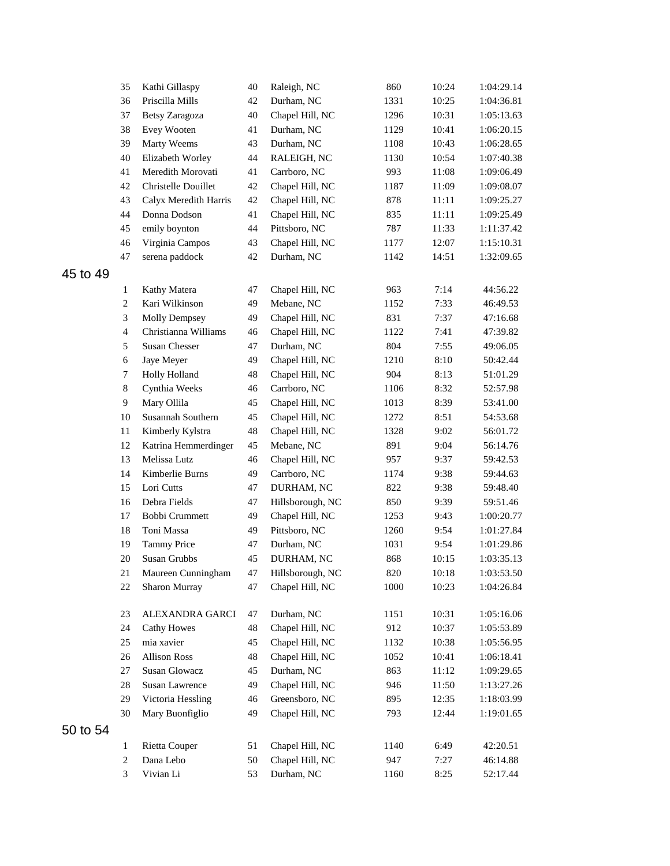|          | 35             | Kathi Gillaspy        | 40 | Raleigh, NC      | 860  | 10:24 | 1:04:29.14 |
|----------|----------------|-----------------------|----|------------------|------|-------|------------|
|          | 36             | Priscilla Mills       | 42 | Durham, NC       | 1331 | 10:25 | 1:04:36.81 |
|          | 37             | Betsy Zaragoza        | 40 | Chapel Hill, NC  | 1296 | 10:31 | 1:05:13.63 |
|          | 38             | Evey Wooten           | 41 | Durham, NC       | 1129 | 10:41 | 1:06:20.15 |
|          | 39             | Marty Weems           | 43 | Durham, NC       | 1108 | 10:43 | 1:06:28.65 |
|          | 40             | Elizabeth Worley      | 44 | RALEIGH, NC      | 1130 | 10:54 | 1:07:40.38 |
|          | 41             | Meredith Morovati     | 41 | Carrboro, NC     | 993  | 11:08 | 1:09:06.49 |
|          | 42             | Christelle Douillet   | 42 | Chapel Hill, NC  | 1187 | 11:09 | 1:09:08.07 |
|          | 43             | Calyx Meredith Harris | 42 | Chapel Hill, NC  | 878  | 11:11 | 1:09:25.27 |
|          | 44             | Donna Dodson          | 41 | Chapel Hill, NC  | 835  | 11:11 | 1:09:25.49 |
|          | 45             | emily boynton         | 44 | Pittsboro, NC    | 787  | 11:33 | 1:11:37.42 |
|          | 46             | Virginia Campos       | 43 | Chapel Hill, NC  | 1177 | 12:07 | 1:15:10.31 |
|          | 47             | serena paddock        | 42 | Durham, NC       | 1142 | 14:51 | 1:32:09.65 |
| 45 to 49 |                |                       |    |                  |      |       |            |
|          | $\mathbf{1}$   | Kathy Matera          | 47 | Chapel Hill, NC  | 963  | 7:14  | 44:56.22   |
|          | $\overline{c}$ | Kari Wilkinson        | 49 | Mebane, NC       | 1152 | 7:33  | 46:49.53   |
|          | 3              | <b>Molly Dempsey</b>  | 49 | Chapel Hill, NC  | 831  | 7:37  | 47:16.68   |
|          | $\overline{4}$ | Christianna Williams  | 46 | Chapel Hill, NC  | 1122 | 7:41  | 47:39.82   |
|          | 5              | Susan Chesser         | 47 | Durham, NC       | 804  | 7:55  | 49:06.05   |
|          | 6              | Jaye Meyer            | 49 | Chapel Hill, NC  | 1210 | 8:10  | 50:42.44   |
|          | $\tau$         | Holly Holland         | 48 | Chapel Hill, NC  | 904  | 8:13  | 51:01.29   |
|          | $\,8\,$        | Cynthia Weeks         | 46 | Carrboro, NC     | 1106 | 8:32  | 52:57.98   |
|          | 9              | Mary Ollila           | 45 | Chapel Hill, NC  | 1013 | 8:39  | 53:41.00   |
|          | 10             | Susannah Southern     | 45 | Chapel Hill, NC  | 1272 | 8:51  | 54:53.68   |
|          | 11             | Kimberly Kylstra      | 48 | Chapel Hill, NC  | 1328 | 9:02  | 56:01.72   |
|          | 12             | Katrina Hemmerdinger  | 45 | Mebane, NC       | 891  | 9:04  | 56:14.76   |
|          | 13             | Melissa Lutz          | 46 | Chapel Hill, NC  | 957  | 9:37  | 59:42.53   |
|          | 14             | Kimberlie Burns       | 49 | Carrboro, NC     | 1174 | 9:38  | 59:44.63   |
|          | 15             | Lori Cutts            | 47 | DURHAM, NC       | 822  | 9:38  | 59:48.40   |
|          | 16             | Debra Fields          | 47 | Hillsborough, NC | 850  | 9:39  | 59:51.46   |
|          | 17             | Bobbi Crummett        | 49 | Chapel Hill, NC  | 1253 | 9:43  | 1:00:20.77 |
|          | 18             | Toni Massa            | 49 | Pittsboro, NC    | 1260 | 9:54  | 1:01:27.84 |
|          | 19             | <b>Tammy Price</b>    | 47 | Durham, NC       | 1031 | 9:54  | 1:01:29.86 |
|          | 20             | Susan Grubbs          | 45 | DURHAM, NC       | 868  | 10:15 | 1:03:35.13 |
|          | 21             | Maureen Cunningham    | 47 | Hillsborough, NC | 820  | 10:18 | 1:03:53.50 |
|          | 22             | Sharon Murray         | 47 | Chapel Hill, NC  | 1000 | 10:23 | 1:04:26.84 |
|          | 23             | ALEXANDRA GARCI       | 47 | Durham, NC       | 1151 | 10:31 | 1:05:16.06 |
|          | 24             | <b>Cathy Howes</b>    | 48 | Chapel Hill, NC  | 912  | 10:37 | 1:05:53.89 |
|          | 25             | mia xavier            | 45 | Chapel Hill, NC  | 1132 | 10:38 | 1:05:56.95 |
|          | 26             | <b>Allison Ross</b>   | 48 | Chapel Hill, NC  | 1052 | 10:41 | 1:06:18.41 |
|          | 27             | <b>Susan Glowacz</b>  | 45 | Durham, NC       | 863  | 11:12 | 1:09:29.65 |
|          | 28             | Susan Lawrence        | 49 | Chapel Hill, NC  | 946  | 11:50 | 1:13:27.26 |
|          | 29             | Victoria Hessling     | 46 | Greensboro, NC   | 895  | 12:35 | 1:18:03.99 |
|          | 30             | Mary Buonfiglio       | 49 | Chapel Hill, NC  | 793  | 12:44 | 1:19:01.65 |
| 50 to 54 |                |                       |    |                  |      |       |            |
|          | $\mathbf{1}$   | Rietta Couper         | 51 | Chapel Hill, NC  | 1140 | 6:49  | 42:20.51   |
|          | 2              | Dana Lebo             | 50 | Chapel Hill, NC  | 947  | 7:27  | 46:14.88   |
|          | 3              | Vivian Li             | 53 | Durham, NC       | 1160 | 8:25  | 52:17.44   |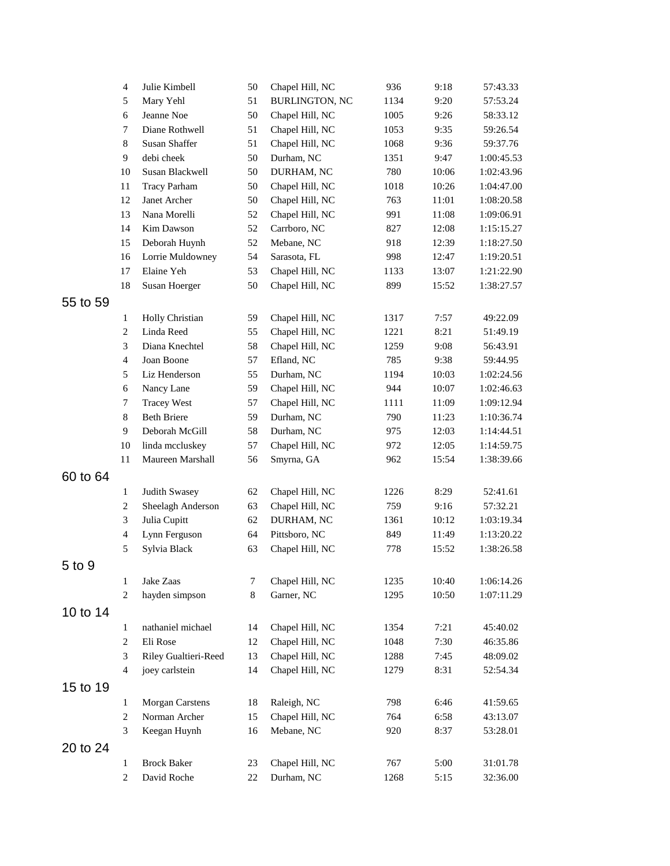|          | $\overline{4}$    | Julie Kimbell                            | 50       | Chapel Hill, NC               | 936         | 9:18           | 57:43.33                 |
|----------|-------------------|------------------------------------------|----------|-------------------------------|-------------|----------------|--------------------------|
|          | 5                 | Mary Yehl                                | 51       | <b>BURLINGTON, NC</b>         | 1134        | 9:20           | 57:53.24                 |
|          | 6                 | Jeanne Noe                               | 50       | Chapel Hill, NC               | 1005        | 9:26           | 58:33.12                 |
|          | 7                 | Diane Rothwell                           | 51       | Chapel Hill, NC               | 1053        | 9:35           | 59:26.54                 |
|          | $\,8\,$           | <b>Susan Shaffer</b>                     | 51       | Chapel Hill, NC               | 1068        | 9:36           | 59:37.76                 |
|          | 9                 | debi cheek                               | 50       | Durham, NC                    | 1351        | 9:47           | 1:00:45.53               |
|          | 10                | Susan Blackwell                          | 50       | DURHAM, NC                    | 780         | 10:06          | 1:02:43.96               |
|          | 11                | <b>Tracy Parham</b>                      | 50       | Chapel Hill, NC               | 1018        | 10:26          | 1:04:47.00               |
|          | 12                | Janet Archer                             | 50       | Chapel Hill, NC               | 763         | 11:01          | 1:08:20.58               |
|          | 13                | Nana Morelli                             | 52       | Chapel Hill, NC               | 991         | 11:08          | 1:09:06.91               |
|          | 14                | Kim Dawson                               | 52       | Carrboro, NC                  | 827         | 12:08          | 1:15:15.27               |
|          | 15                | Deborah Huynh                            | 52       | Mebane, NC                    | 918         | 12:39          | 1:18:27.50               |
|          | 16                | Lorrie Muldowney                         | 54       | Sarasota, FL                  | 998         | 12:47          | 1:19:20.51               |
|          | 17                | Elaine Yeh                               | 53       | Chapel Hill, NC               | 1133        | 13:07          | 1:21:22.90               |
|          | 18                | Susan Hoerger                            | 50       | Chapel Hill, NC               | 899         | 15:52          | 1:38:27.57               |
| 55 to 59 |                   |                                          |          |                               |             |                |                          |
|          | $\mathbf{1}$      | Holly Christian                          | 59       | Chapel Hill, NC               | 1317        | 7:57           | 49:22.09                 |
|          | $\overline{c}$    | Linda Reed                               | 55       | Chapel Hill, NC               | 1221        | 8:21           | 51:49.19                 |
|          | 3                 | Diana Knechtel                           | 58       | Chapel Hill, NC               | 1259        | 9:08           | 56:43.91                 |
|          | $\overline{4}$    | Joan Boone                               | 57       | Efland, NC                    | 785         | 9:38           | 59:44.95                 |
|          | 5                 | Liz Henderson                            | 55       | Durham, NC                    | 1194        | 10:03          | 1:02:24.56               |
|          | 6                 | Nancy Lane                               | 59       | Chapel Hill, NC               | 944         | 10:07          | 1:02:46.63               |
|          | $\tau$<br>$\,8\,$ | <b>Tracey West</b><br><b>Beth Briere</b> | 57<br>59 | Chapel Hill, NC<br>Durham, NC | 1111<br>790 | 11:09          | 1:09:12.94               |
|          | 9                 | Deborah McGill                           |          | Durham, NC                    |             | 11:23          | 1:10:36.74               |
|          | 10                | linda mccluskey                          | 58<br>57 | Chapel Hill, NC               | 975<br>972  | 12:03<br>12:05 | 1:14:44.51<br>1:14:59.75 |
|          | 11                | Maureen Marshall                         | 56       | Smyrna, GA                    | 962         | 15:54          | 1:38:39.66               |
| 60 to 64 |                   |                                          |          |                               |             |                |                          |
|          | $\mathbf{1}$      | Judith Swasey                            | 62       | Chapel Hill, NC               | 1226        | 8:29           | 52:41.61                 |
|          | 2                 | Sheelagh Anderson                        | 63       | Chapel Hill, NC               | 759         | 9:16           | 57:32.21                 |
|          | $\mathfrak{Z}$    | Julia Cupitt                             | 62       | DURHAM, NC                    | 1361        | 10:12          | 1:03:19.34               |
|          | $\overline{4}$    | Lynn Ferguson                            | 64       | Pittsboro, NC                 | 849         | 11:49          | 1:13:20.22               |
|          | 5                 | Sylvia Black                             | 63       | Chapel Hill, NC               | 778         | 15:52          | 1:38:26.58               |
| 5 to 9   |                   |                                          |          |                               |             |                |                          |
|          | 1                 | Jake Zaas                                | 7        | Chapel Hill, NC               | 1235        | 10:40          | 1:06:14.26               |
|          | 2                 | hayden simpson                           | 8        | Garner, NC                    | 1295        | 10:50          | 1:07:11.29               |
| 10 to 14 |                   |                                          |          |                               |             |                |                          |
|          | $\mathbf{1}$      | nathaniel michael                        | 14       | Chapel Hill, NC               | 1354        | 7:21           | 45:40.02                 |
|          | $\overline{c}$    | Eli Rose                                 | 12       | Chapel Hill, NC               | 1048        | 7:30           | 46:35.86                 |
|          | 3                 | Riley Gualtieri-Reed                     | 13       | Chapel Hill, NC               | 1288        | 7:45           | 48:09.02                 |
|          | 4                 | joey carlstein                           | 14       | Chapel Hill, NC               | 1279        | 8:31           | 52:54.34                 |
|          |                   |                                          |          |                               |             |                |                          |
| 15 to 19 |                   |                                          |          |                               |             |                |                          |
|          | $\mathbf{1}$      | <b>Morgan Carstens</b>                   | 18       | Raleigh, NC                   | 798         | 6:46           | 41:59.65                 |
|          | 2                 | Norman Archer                            | 15       | Chapel Hill, NC               | 764         | 6:58           | 43:13.07                 |
|          | 3                 | Keegan Huynh                             | 16       | Mebane, NC                    | 920         | 8:37           | 53:28.01                 |
| 20 to 24 |                   |                                          |          |                               |             |                |                          |
|          | $\mathbf{1}$      | <b>Brock Baker</b>                       | 23       | Chapel Hill, NC               | 767         | 5:00           | 31:01.78                 |
|          | $\overline{c}$    | David Roche                              | 22       | Durham, NC                    | 1268        | 5:15           | 32:36.00                 |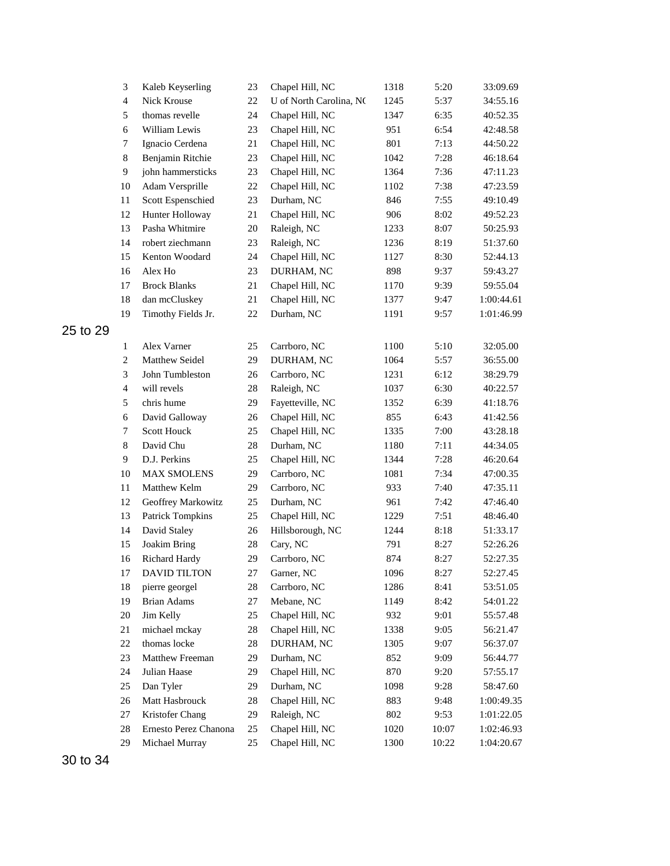|          | 3              | Kaleb Keyserling      | 23     | Chapel Hill, NC         | 1318 | 5:20  | 33:09.69   |
|----------|----------------|-----------------------|--------|-------------------------|------|-------|------------|
|          | $\overline{4}$ | Nick Krouse           | 22     | U of North Carolina, NO | 1245 | 5:37  | 34:55.16   |
|          | 5              | thomas revelle        | 24     | Chapel Hill, NC         | 1347 | 6:35  | 40:52.35   |
|          | 6              | William Lewis         | 23     | Chapel Hill, NC         | 951  | 6:54  | 42:48.58   |
|          | $\tau$         | Ignacio Cerdena       | 21     | Chapel Hill, NC         | 801  | 7:13  | 44:50.22   |
|          | 8              | Benjamin Ritchie      | 23     | Chapel Hill, NC         | 1042 | 7:28  | 46:18.64   |
|          | 9              | john hammersticks     | 23     | Chapel Hill, NC         | 1364 | 7:36  | 47:11.23   |
|          | 10             | Adam Versprille       | 22     | Chapel Hill, NC         | 1102 | 7:38  | 47:23.59   |
|          | 11             | Scott Espenschied     | 23     | Durham, NC              | 846  | 7:55  | 49:10.49   |
|          | 12             | Hunter Holloway       | 21     | Chapel Hill, NC         | 906  | 8:02  | 49:52.23   |
|          | 13             | Pasha Whitmire        | 20     | Raleigh, NC             | 1233 | 8:07  | 50:25.93   |
|          | 14             | robert ziechmann      | 23     | Raleigh, NC             | 1236 | 8:19  | 51:37.60   |
|          | 15             | Kenton Woodard        | 24     | Chapel Hill, NC         | 1127 | 8:30  | 52:44.13   |
|          | 16             | Alex Ho               | 23     | DURHAM, NC              | 898  | 9:37  | 59:43.27   |
|          | 17             | <b>Brock Blanks</b>   | $21\,$ | Chapel Hill, NC         | 1170 | 9:39  | 59:55.04   |
|          | 18             | dan mcCluskey         | 21     | Chapel Hill, NC         | 1377 | 9:47  | 1:00:44.61 |
|          | 19             | Timothy Fields Jr.    | 22     | Durham, NC              | 1191 | 9:57  | 1:01:46.99 |
| 25 to 29 |                |                       |        |                         |      |       |            |
|          | 1              | Alex Varner           | 25     | Carrboro, NC            | 1100 | 5:10  | 32:05.00   |
|          | $\overline{c}$ | Matthew Seidel        | 29     | DURHAM, NC              | 1064 | 5:57  | 36:55.00   |
|          | 3              | John Tumbleston       | 26     | Carrboro, NC            | 1231 | 6:12  | 38:29.79   |
|          | $\overline{4}$ | will revels           | $28\,$ | Raleigh, NC             | 1037 | 6:30  | 40:22.57   |
|          | 5              | chris hume            | 29     | Fayetteville, NC        | 1352 | 6:39  | 41:18.76   |
|          | 6              | David Galloway        | 26     | Chapel Hill, NC         | 855  | 6:43  | 41:42.56   |
|          | $\tau$         | <b>Scott Houck</b>    | 25     | Chapel Hill, NC         | 1335 | 7:00  | 43:28.18   |
|          | 8              | David Chu             | 28     | Durham, NC              | 1180 | 7:11  | 44:34.05   |
|          | 9              | D.J. Perkins          | 25     | Chapel Hill, NC         | 1344 | 7:28  | 46:20.64   |
|          | 10             | <b>MAX SMOLENS</b>    | 29     | Carrboro, NC            | 1081 | 7:34  | 47:00.35   |
|          | 11             | Matthew Kelm          | 29     | Carrboro, NC            | 933  | 7:40  | 47:35.11   |
|          | 12             | Geoffrey Markowitz    | 25     | Durham, NC              | 961  | 7:42  | 47:46.40   |
|          | 13             | Patrick Tompkins      | 25     | Chapel Hill, NC         | 1229 | 7:51  | 48:46.40   |
|          | 14             | David Staley          | 26     | Hillsborough, NC        | 1244 | 8:18  | 51:33.17   |
|          | 15             | <b>Joakim Bring</b>   | 28     | Cary, NC                | 791  | 8:27  | 52:26.26   |
|          | 16             | Richard Hardy         | 29     | Carrboro, NC            | 874  | 8:27  | 52:27.35   |
|          | 17             | DAVID TILTON          | 27     | Garner, NC              | 1096 | 8:27  | 52:27.45   |
|          | 18             | pierre georgel        | 28     | Carrboro, NC            | 1286 | 8:41  | 53:51.05   |
|          | 19             | <b>Brian Adams</b>    | 27     | Mebane, NC              | 1149 | 8:42  | 54:01.22   |
|          | 20             | Jim Kelly             | 25     | Chapel Hill, NC         | 932  | 9:01  | 55:57.48   |
|          | 21             | michael mckay         | 28     | Chapel Hill, NC         | 1338 | 9:05  | 56:21.47   |
|          | 22             | thomas locke          | 28     | DURHAM, NC              | 1305 | 9:07  | 56:37.07   |
|          | 23             | Matthew Freeman       | 29     | Durham, NC              | 852  | 9:09  | 56:44.77   |
|          | 24             | Julian Haase          | 29     | Chapel Hill, NC         | 870  | 9:20  | 57:55.17   |
|          | 25             | Dan Tyler             | 29     | Durham, NC              | 1098 | 9:28  | 58:47.60   |
|          | 26             | Matt Hasbrouck        | 28     | Chapel Hill, NC         | 883  | 9:48  | 1:00:49.35 |
|          | 27             | Kristofer Chang       | 29     | Raleigh, NC             | 802  | 9:53  | 1:01:22.05 |
|          | 28             | Ernesto Perez Chanona | 25     | Chapel Hill, NC         | 1020 | 10:07 | 1:02:46.93 |
|          | 29             | Michael Murray        | 25     | Chapel Hill, NC         | 1300 | 10:22 | 1:04:20.67 |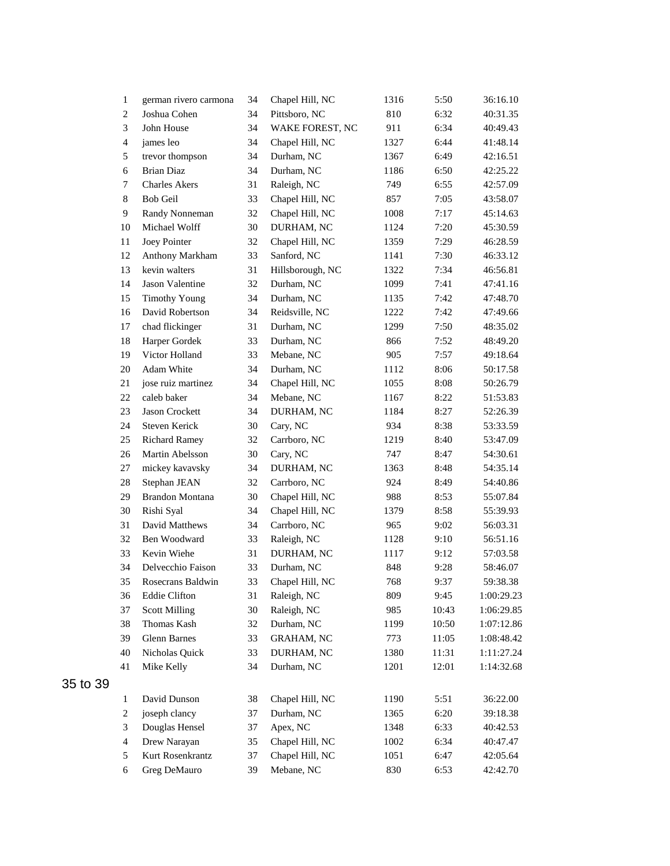| 1                       | german rivero carmona  | 34 | Chapel Hill, NC   | 1316 | 5:50  | 36:16.10   |
|-------------------------|------------------------|----|-------------------|------|-------|------------|
| $\overline{c}$          | Joshua Cohen           | 34 | Pittsboro, NC     | 810  | 6:32  | 40:31.35   |
| $\mathfrak{Z}$          | John House             | 34 | WAKE FOREST, NC   | 911  | 6:34  | 40:49.43   |
| $\overline{\mathbf{4}}$ | james leo              | 34 | Chapel Hill, NC   | 1327 | 6:44  | 41:48.14   |
| 5                       | trevor thompson        | 34 | Durham, NC        | 1367 | 6:49  | 42:16.51   |
| 6                       | <b>Brian Diaz</b>      | 34 | Durham, NC        | 1186 | 6:50  | 42:25.22   |
| 7                       | <b>Charles Akers</b>   | 31 | Raleigh, NC       | 749  | 6:55  | 42:57.09   |
| $\,8\,$                 | <b>Bob Geil</b>        | 33 | Chapel Hill, NC   | 857  | 7:05  | 43:58.07   |
| 9                       | Randy Nonneman         | 32 | Chapel Hill, NC   | 1008 | 7:17  | 45:14.63   |
| 10                      | Michael Wolff          | 30 | DURHAM, NC        | 1124 | 7:20  | 45:30.59   |
| $11\,$                  | Joey Pointer           | 32 | Chapel Hill, NC   | 1359 | 7:29  | 46:28.59   |
| 12                      | Anthony Markham        | 33 | Sanford, NC       | 1141 | 7:30  | 46:33.12   |
| 13                      | kevin walters          | 31 | Hillsborough, NC  | 1322 | 7:34  | 46:56.81   |
| 14                      | Jason Valentine        | 32 | Durham, NC        | 1099 | 7:41  | 47:41.16   |
| 15                      | <b>Timothy Young</b>   | 34 | Durham, NC        | 1135 | 7:42  | 47:48.70   |
| 16                      | David Robertson        | 34 | Reidsville, NC    | 1222 | 7:42  | 47:49.66   |
| 17                      | chad flickinger        | 31 | Durham, NC        | 1299 | 7:50  | 48:35.02   |
| 18                      | Harper Gordek          | 33 | Durham, NC        | 866  | 7:52  | 48:49.20   |
| 19                      | Victor Holland         | 33 | Mebane, NC        | 905  | 7:57  | 49:18.64   |
| 20                      | Adam White             | 34 | Durham, NC        | 1112 | 8:06  | 50:17.58   |
| 21                      | jose ruiz martinez     | 34 | Chapel Hill, NC   | 1055 | 8:08  | 50:26.79   |
| 22                      | caleb baker            | 34 | Mebane, NC        | 1167 | 8:22  | 51:53.83   |
| 23                      | Jason Crockett         | 34 | DURHAM, NC        | 1184 | 8:27  | 52:26.39   |
| 24                      | Steven Kerick          | 30 | Cary, NC          | 934  | 8:38  | 53:33.59   |
| 25                      | <b>Richard Ramey</b>   | 32 | Carrboro, NC      | 1219 | 8:40  | 53:47.09   |
| 26                      | Martin Abelsson        | 30 | Cary, NC          | 747  | 8:47  | 54:30.61   |
| 27                      | mickey kavavsky        | 34 | DURHAM, NC        | 1363 | 8:48  | 54:35.14   |
| 28                      | Stephan JEAN           | 32 | Carrboro, NC      | 924  | 8:49  | 54:40.86   |
| 29                      | <b>Brandon Montana</b> | 30 | Chapel Hill, NC   | 988  | 8:53  | 55:07.84   |
| 30                      | Rishi Syal             | 34 | Chapel Hill, NC   | 1379 | 8:58  | 55:39.93   |
| 31                      | David Matthews         | 34 | Carrboro, NC      | 965  | 9:02  | 56:03.31   |
| 32                      | Ben Woodward           | 33 | Raleigh, NC       | 1128 | 9:10  | 56:51.16   |
| 33                      | Kevin Wiehe            | 31 | DURHAM, NC        | 1117 | 9:12  | 57:03.58   |
| 34                      | Delvecchio Faison      | 33 | Durham, NC        | 848  | 9:28  | 58:46.07   |
| 35                      | Rosecrans Baldwin      | 33 | Chapel Hill, NC   | 768  | 9:37  | 59:38.38   |
| 36                      | <b>Eddie Clifton</b>   | 31 | Raleigh, NC       | 809  | 9:45  | 1:00:29.23 |
| 37                      | <b>Scott Milling</b>   | 30 | Raleigh, NC       | 985  | 10:43 | 1:06:29.85 |
| 38                      | Thomas Kash            | 32 | Durham, NC        | 1199 | 10:50 | 1:07:12.86 |
| 39                      | <b>Glenn Barnes</b>    | 33 | <b>GRAHAM, NC</b> | 773  | 11:05 | 1:08:48.42 |
| 40                      | Nicholas Quick         | 33 | DURHAM, NC        | 1380 | 11:31 | 1:11:27.24 |
| 41                      | Mike Kelly             | 34 | Durham, NC        | 1201 | 12:01 | 1:14:32.68 |
| $\mathbf{1}$            | David Dunson           | 38 | Chapel Hill, NC   | 1190 | 5:51  | 36:22.00   |
| $\boldsymbol{2}$        | joseph clancy          | 37 | Durham, NC        | 1365 | 6:20  | 39:18.38   |
| $\mathfrak{Z}$          | Douglas Hensel         | 37 | Apex, NC          | 1348 | 6:33  | 40:42.53   |
| $\overline{4}$          | Drew Narayan           | 35 | Chapel Hill, NC   | 1002 | 6:34  | 40:47.47   |
| 5                       | Kurt Rosenkrantz       | 37 | Chapel Hill, NC   | 1051 | 6:47  | 42:05.64   |
| 6                       | Greg DeMauro           | 39 | Mebane, NC        | 830  | 6:53  | 42:42.70   |
|                         |                        |    |                   |      |       |            |

35 to 39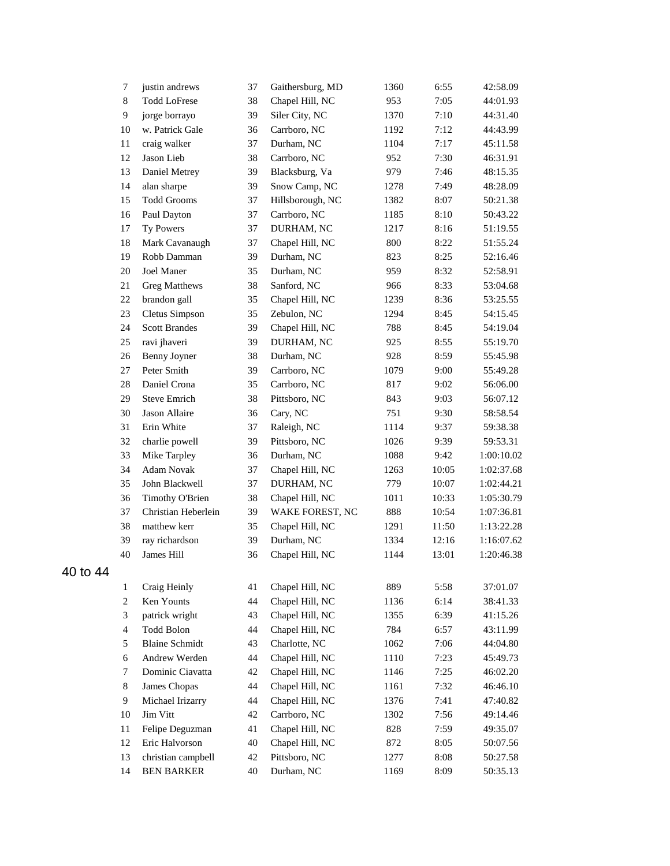|          | 7              | justin andrews        | 37 | Gaithersburg, MD | 1360 | 6:55  | 42:58.09   |
|----------|----------------|-----------------------|----|------------------|------|-------|------------|
|          | $\,8\,$        | <b>Todd LoFrese</b>   | 38 | Chapel Hill, NC  | 953  | 7:05  | 44:01.93   |
|          | 9              | jorge borrayo         | 39 | Siler City, NC   | 1370 | 7:10  | 44:31.40   |
|          | 10             | w. Patrick Gale       | 36 | Carrboro, NC     | 1192 | 7:12  | 44:43.99   |
|          | 11             | craig walker          | 37 | Durham, NC       | 1104 | 7:17  | 45:11.58   |
|          | 12             | Jason Lieb            | 38 | Carrboro, NC     | 952  | 7:30  | 46:31.91   |
|          | 13             | Daniel Metrey         | 39 | Blacksburg, Va   | 979  | 7:46  | 48:15.35   |
|          | 14             | alan sharpe           | 39 | Snow Camp, NC    | 1278 | 7:49  | 48:28.09   |
|          | 15             | <b>Todd Grooms</b>    | 37 | Hillsborough, NC | 1382 | 8:07  | 50:21.38   |
|          | 16             | Paul Dayton           | 37 | Carrboro, NC     | 1185 | 8:10  | 50:43.22   |
|          | 17             | Ty Powers             | 37 | DURHAM, NC       | 1217 | 8:16  | 51:19.55   |
|          | 18             | Mark Cavanaugh        | 37 | Chapel Hill, NC  | 800  | 8:22  | 51:55.24   |
|          | 19             | Robb Damman           | 39 | Durham, NC       | 823  | 8:25  | 52:16.46   |
|          | 20             | Joel Maner            | 35 | Durham, NC       | 959  | 8:32  | 52:58.91   |
|          | 21             | <b>Greg Matthews</b>  | 38 | Sanford, NC      | 966  | 8:33  | 53:04.68   |
|          | 22             | brandon gall          | 35 | Chapel Hill, NC  | 1239 | 8:36  | 53:25.55   |
|          | 23             | Cletus Simpson        | 35 | Zebulon, NC      | 1294 | 8:45  | 54:15.45   |
|          | 24             | <b>Scott Brandes</b>  | 39 | Chapel Hill, NC  | 788  | 8:45  | 54:19.04   |
|          | 25             | ravi jhaveri          | 39 | DURHAM, NC       | 925  | 8:55  | 55:19.70   |
|          | 26             | Benny Joyner          | 38 | Durham, NC       | 928  | 8:59  | 55:45.98   |
|          | 27             | Peter Smith           | 39 | Carrboro, NC     | 1079 | 9:00  | 55:49.28   |
|          | 28             | Daniel Crona          | 35 | Carrboro, NC     | 817  | 9:02  | 56:06.00   |
|          | 29             | Steve Emrich          | 38 | Pittsboro, NC    | 843  | 9:03  | 56:07.12   |
|          | 30             | Jason Allaire         | 36 | Cary, NC         | 751  | 9:30  | 58:58.54   |
|          | 31             | Erin White            | 37 | Raleigh, NC      | 1114 | 9:37  | 59:38.38   |
|          | 32             | charlie powell        | 39 | Pittsboro, NC    | 1026 | 9:39  | 59:53.31   |
|          | 33             | Mike Tarpley          | 36 | Durham, NC       | 1088 | 9:42  | 1:00:10.02 |
|          | 34             | Adam Novak            | 37 | Chapel Hill, NC  | 1263 | 10:05 | 1:02:37.68 |
|          | 35             | John Blackwell        | 37 | DURHAM, NC       | 779  | 10:07 | 1:02:44.21 |
|          | 36             | Timothy O'Brien       | 38 | Chapel Hill, NC  | 1011 | 10:33 | 1:05:30.79 |
|          | 37             | Christian Heberlein   | 39 | WAKE FOREST, NC  | 888  | 10:54 | 1:07:36.81 |
|          | 38             | matthew kerr          | 35 | Chapel Hill, NC  | 1291 | 11:50 | 1:13:22.28 |
|          | 39             | ray richardson        | 39 | Durham, NC       | 1334 | 12:16 | 1:16:07.62 |
|          | 40             | James Hill            | 36 | Chapel Hill, NC  | 1144 | 13:01 | 1:20:46.38 |
| 40 to 44 |                |                       |    |                  |      |       |            |
|          | $\mathbf{1}$   | Craig Heinly          | 41 | Chapel Hill, NC  | 889  | 5:58  | 37:01.07   |
|          | $\overline{c}$ | Ken Younts            | 44 | Chapel Hill, NC  | 1136 | 6:14  | 38:41.33   |
|          | 3              | patrick wright        | 43 | Chapel Hill, NC  | 1355 | 6:39  | 41:15.26   |
|          | $\overline{4}$ | Todd Bolon            | 44 | Chapel Hill, NC  | 784  | 6:57  | 43:11.99   |
|          | 5              | <b>Blaine Schmidt</b> | 43 | Charlotte, NC    | 1062 | 7:06  | 44:04.80   |
|          | 6              | Andrew Werden         | 44 | Chapel Hill, NC  | 1110 | 7:23  | 45:49.73   |
|          | 7              | Dominic Ciavatta      | 42 | Chapel Hill, NC  | 1146 | 7:25  | 46:02.20   |
|          | 8              | James Chopas          | 44 | Chapel Hill, NC  | 1161 | 7:32  | 46:46.10   |
|          | 9              | Michael Irizarry      | 44 | Chapel Hill, NC  | 1376 | 7:41  | 47:40.82   |
|          | 10             | Jim Vitt              | 42 | Carrboro, NC     | 1302 | 7:56  | 49:14.46   |
|          | 11             | Felipe Deguzman       | 41 | Chapel Hill, NC  | 828  | 7:59  | 49:35.07   |
|          | 12             | Eric Halvorson        | 40 | Chapel Hill, NC  | 872  | 8:05  | 50:07.56   |
|          | 13             | christian campbell    | 42 | Pittsboro, NC    | 1277 | 8:08  | 50:27.58   |
|          | 14             | <b>BEN BARKER</b>     | 40 | Durham, NC       | 1169 | 8:09  | 50:35.13   |
|          |                |                       |    |                  |      |       |            |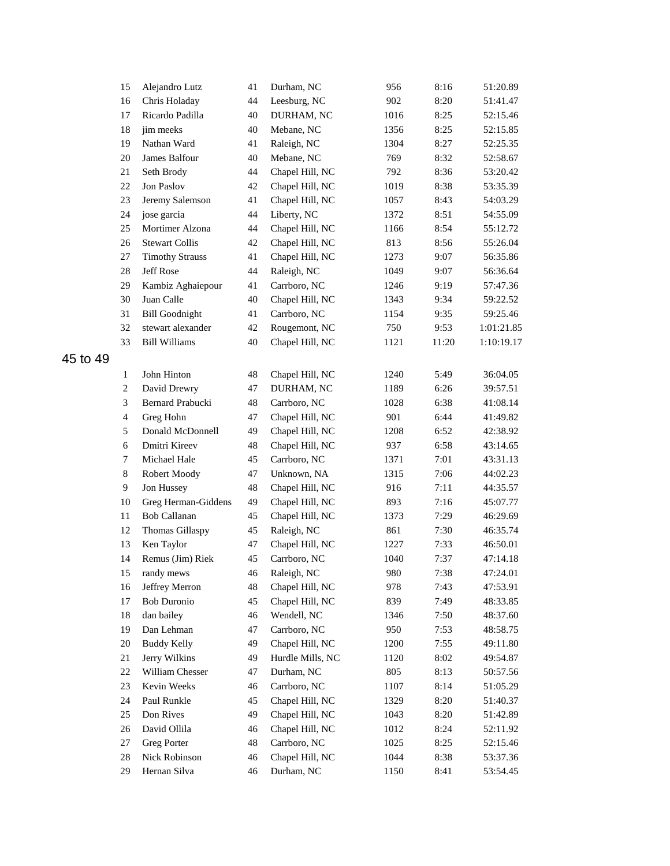|          | 15             | Alejandro Lutz         | 41 | Durham, NC       | 956  | 8:16  | 51:20.89   |
|----------|----------------|------------------------|----|------------------|------|-------|------------|
|          | 16             | Chris Holaday          | 44 | Leesburg, NC     | 902  | 8:20  | 51:41.47   |
|          | 17             | Ricardo Padilla        | 40 | DURHAM, NC       | 1016 | 8:25  | 52:15.46   |
|          | 18             | jim meeks              | 40 | Mebane, NC       | 1356 | 8:25  | 52:15.85   |
|          | 19             | Nathan Ward            | 41 | Raleigh, NC      | 1304 | 8:27  | 52:25.35   |
|          | 20             | James Balfour          | 40 | Mebane, NC       | 769  | 8:32  | 52:58.67   |
|          | 21             | Seth Brody             | 44 | Chapel Hill, NC  | 792  | 8:36  | 53:20.42   |
|          | 22             | Jon Paslov             | 42 | Chapel Hill, NC  | 1019 | 8:38  | 53:35.39   |
|          | 23             | Jeremy Salemson        | 41 | Chapel Hill, NC  | 1057 | 8:43  | 54:03.29   |
|          | 24             | jose garcia            | 44 | Liberty, NC      | 1372 | 8:51  | 54:55.09   |
|          | 25             | Mortimer Alzona        | 44 | Chapel Hill, NC  | 1166 | 8:54  | 55:12.72   |
|          | 26             | <b>Stewart Collis</b>  | 42 | Chapel Hill, NC  | 813  | 8:56  | 55:26.04   |
|          | 27             | <b>Timothy Strauss</b> | 41 | Chapel Hill, NC  | 1273 | 9:07  | 56:35.86   |
|          | 28             | Jeff Rose              | 44 | Raleigh, NC      | 1049 | 9:07  | 56:36.64   |
|          | 29             | Kambiz Aghaiepour      | 41 | Carrboro, NC     | 1246 | 9:19  | 57:47.36   |
|          | 30             | Juan Calle             | 40 | Chapel Hill, NC  | 1343 | 9:34  | 59:22.52   |
|          | 31             | <b>Bill Goodnight</b>  | 41 | Carrboro, NC     | 1154 | 9:35  | 59:25.46   |
|          | 32             | stewart alexander      | 42 | Rougemont, NC    | 750  | 9:53  | 1:01:21.85 |
|          | 33             | <b>Bill Williams</b>   | 40 | Chapel Hill, NC  | 1121 | 11:20 | 1:10:19.17 |
| 45 to 49 |                |                        |    |                  |      |       |            |
|          | $\mathbf{1}$   | John Hinton            | 48 | Chapel Hill, NC  | 1240 | 5:49  | 36:04.05   |
|          | $\overline{c}$ | David Drewry           | 47 | DURHAM, NC       | 1189 | 6:26  | 39:57.51   |
|          | 3              | Bernard Prabucki       | 48 | Carrboro, NC     | 1028 | 6:38  | 41:08.14   |
|          | $\overline{4}$ | Greg Hohn              | 47 | Chapel Hill, NC  | 901  | 6:44  | 41:49.82   |
|          | 5              | Donald McDonnell       | 49 | Chapel Hill, NC  | 1208 | 6:52  | 42:38.92   |
|          | 6              | Dmitri Kireev          | 48 | Chapel Hill, NC  | 937  | 6:58  | 43:14.65   |
|          | $\tau$         | Michael Hale           | 45 | Carrboro, NC     | 1371 | 7:01  | 43:31.13   |
|          | $\,8\,$        | Robert Moody           | 47 | Unknown, NA      | 1315 | 7:06  | 44:02.23   |
|          | $\overline{9}$ | Jon Hussey             | 48 | Chapel Hill, NC  | 916  | 7:11  | 44:35.57   |
|          | 10             | Greg Herman-Giddens    | 49 | Chapel Hill, NC  | 893  | 7:16  | 45:07.77   |
|          | 11             | <b>Bob Callanan</b>    | 45 | Chapel Hill, NC  | 1373 | 7:29  | 46:29.69   |
|          | 12             | Thomas Gillaspy        | 45 | Raleigh, NC      | 861  | 7:30  | 46:35.74   |
|          | 13             | Ken Taylor             | 47 | Chapel Hill, NC  | 1227 | 7:33  | 46:50.01   |
|          | 14             | Remus (Jim) Riek       | 45 | Carrboro, NC     | 1040 | 7:37  | 47:14.18   |
|          | 15             | randy mews             | 46 | Raleigh, NC      | 980  | 7:38  | 47:24.01   |
|          | 16             | Jeffrey Merron         | 48 | Chapel Hill, NC  | 978  | 7:43  | 47:53.91   |
|          | 17             | <b>Bob Duronio</b>     | 45 | Chapel Hill, NC  | 839  | 7:49  | 48:33.85   |
|          | 18             | dan bailey             | 46 | Wendell, NC      | 1346 | 7:50  | 48:37.60   |
|          | 19             | Dan Lehman             | 47 | Carrboro, NC     | 950  | 7:53  | 48:58.75   |
|          | $20\,$         | <b>Buddy Kelly</b>     | 49 | Chapel Hill, NC  | 1200 | 7:55  | 49:11.80   |
|          | 21             | Jerry Wilkins          | 49 | Hurdle Mills, NC | 1120 | 8:02  | 49:54.87   |
|          | 22             | William Chesser        | 47 | Durham, NC       | 805  | 8:13  | 50:57.56   |
|          | 23             | Kevin Weeks            | 46 | Carrboro, NC     | 1107 | 8:14  | 51:05.29   |
|          | 24             | Paul Runkle            | 45 | Chapel Hill, NC  | 1329 | 8:20  | 51:40.37   |
|          | 25             | Don Rives              | 49 | Chapel Hill, NC  | 1043 | 8:20  | 51:42.89   |
|          | 26             | David Ollila           | 46 | Chapel Hill, NC  | 1012 | 8:24  | 52:11.92   |
|          | 27             | <b>Greg Porter</b>     | 48 | Carrboro, NC     | 1025 | 8:25  | 52:15.46   |
|          | 28             | Nick Robinson          | 46 | Chapel Hill, NC  | 1044 | 8:38  | 53:37.36   |
|          | 29             | Hernan Silva           | 46 | Durham, NC       | 1150 | 8:41  | 53:54.45   |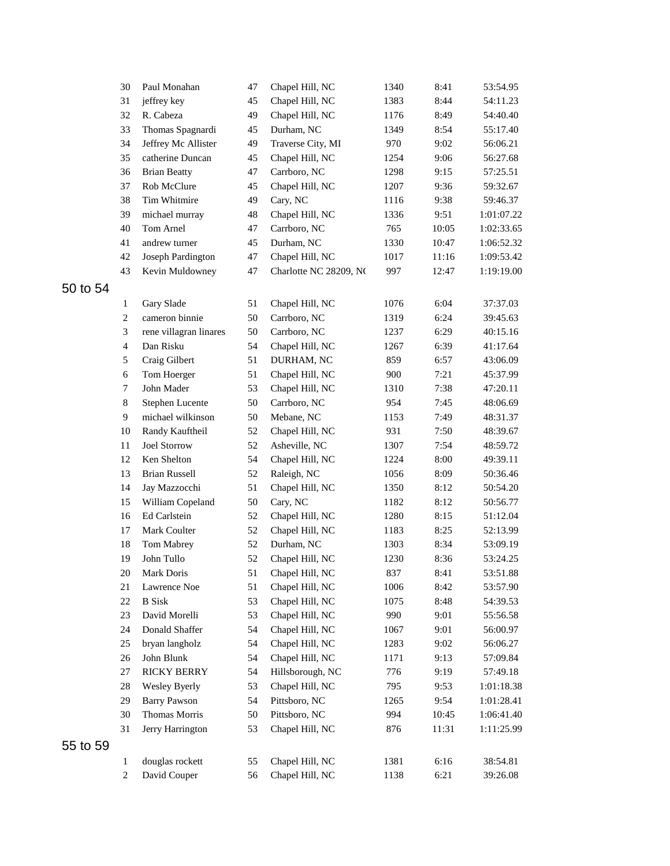|          | 30               | Paul Monahan           | 47       | Chapel Hill, NC        | 1340 | 8:41  | 53:54.95   |
|----------|------------------|------------------------|----------|------------------------|------|-------|------------|
|          | 31               | jeffrey key            | 45       | Chapel Hill, NC        | 1383 | 8:44  | 54:11.23   |
|          | 32               | R. Cabeza              | 49       | Chapel Hill, NC        | 1176 | 8:49  | 54:40.40   |
|          | 33               | Thomas Spagnardi       | 45       | Durham, NC             | 1349 | 8:54  | 55:17.40   |
|          | 34               | Jeffrey Mc Allister    | 49       | Traverse City, MI      | 970  | 9:02  | 56:06.21   |
|          | 35               | catherine Duncan       | 45       | Chapel Hill, NC        | 1254 | 9:06  | 56:27.68   |
|          | 36               | <b>Brian Beatty</b>    | 47       | Carrboro, NC           | 1298 | 9:15  | 57:25.51   |
|          | 37               | Rob McClure            | 45       | Chapel Hill, NC        | 1207 | 9:36  | 59:32.67   |
|          | 38               | Tim Whitmire           | 49       | Cary, NC               | 1116 | 9:38  | 59:46.37   |
|          | 39               | michael murray         | 48       | Chapel Hill, NC        | 1336 | 9:51  | 1:01:07.22 |
|          | 40               | Tom Arnel              | 47       | Carrboro, NC           | 765  | 10:05 | 1:02:33.65 |
|          | 41               | andrew turner          | 45       | Durham, NC             | 1330 | 10:47 | 1:06:52.32 |
|          | 42               | Joseph Pardington      | 47       | Chapel Hill, NC        | 1017 | 11:16 | 1:09:53.42 |
|          | 43               | Kevin Muldowney        | 47       | Charlotte NC 28209, NC | 997  | 12:47 | 1:19:19.00 |
| 50 to 54 |                  |                        |          |                        |      |       |            |
|          | $\mathbf{1}$     | Gary Slade             | 51       | Chapel Hill, NC        | 1076 | 6:04  | 37:37.03   |
|          | $\overline{c}$   | cameron binnie         | 50       | Carrboro, NC           | 1319 | 6:24  | 39:45.63   |
|          | 3                | rene villagran linares | 50       | Carrboro, NC           | 1237 | 6:29  | 40:15.16   |
|          | $\overline{4}$   | Dan Risku              | 54       | Chapel Hill, NC        | 1267 | 6:39  | 41:17.64   |
|          | 5                | Craig Gilbert          | 51       | DURHAM, NC             | 859  | 6:57  | 43:06.09   |
|          | 6                | Tom Hoerger            | 51       | Chapel Hill, NC        | 900  | 7:21  | 45:37.99   |
|          | 7                | John Mader             | 53       | Chapel Hill, NC        | 1310 | 7:38  | 47:20.11   |
|          | $\,8\,$          | Stephen Lucente        | 50       | Carrboro, NC           | 954  | 7:45  | 48:06.69   |
|          | 9                | michael wilkinson      | 50       | Mebane, NC             | 1153 | 7:49  | 48:31.37   |
|          | 10               | Randy Kauftheil        | 52       | Chapel Hill, NC        | 931  | 7:50  | 48:39.67   |
|          | 11               | <b>Joel Storrow</b>    | 52       | Asheville, NC          | 1307 | 7:54  | 48:59.72   |
|          | 12               | Ken Shelton            | 54       | Chapel Hill, NC        | 1224 | 8:00  | 49:39.11   |
|          | 13               | <b>Brian Russell</b>   | 52       | Raleigh, NC            | 1056 | 8:09  | 50:36.46   |
|          | 14               | Jay Mazzocchi          | 51       | Chapel Hill, NC        | 1350 | 8:12  | 50:54.20   |
|          | 15               | William Copeland       | 50       | Cary, NC               | 1182 | 8:12  | 50:56.77   |
|          | 16               | Ed Carlstein           | 52       | Chapel Hill, NC        | 1280 | 8:15  | 51:12.04   |
|          | 17               | Mark Coulter           | 52       | Chapel Hill, NC        | 1183 | 8:25  | 52:13.99   |
|          | 18               | Tom Mabrey             | 52       | Durham, NC             | 1303 | 8:34  | 53:09.19   |
|          | 19               | John Tullo             | 52       | Chapel Hill, NC        | 1230 | 8:36  | 53:24.25   |
|          | $20\,$           | Mark Doris             |          | 51 Chapel Hill, NC     | 837  | 8:41  | 53:51.88   |
|          | 21               | Lawrence Noe           | 51       | Chapel Hill, NC        | 1006 | 8:42  | 53:57.90   |
|          | 22               | <b>B</b> Sisk          | 53       | Chapel Hill, NC        | 1075 | 8:48  | 54:39.53   |
|          | 23               | David Morelli          | 53       | Chapel Hill, NC        | 990  | 9:01  | 55:56.58   |
|          | 24               | Donald Shaffer         | 54       | Chapel Hill, NC        | 1067 | 9:01  | 56:00.97   |
|          | 25               | bryan langholz         | 54       | Chapel Hill, NC        | 1283 | 9:02  | 56:06.27   |
|          | 26               | John Blunk             | 54       | Chapel Hill, NC        | 1171 | 9:13  | 57:09.84   |
|          | 27               | <b>RICKY BERRY</b>     | 54       | Hillsborough, NC       | 776  | 9:19  | 57:49.18   |
|          | 28               | Wesley Byerly          | 53       | Chapel Hill, NC        | 795  | 9:53  | 1:01:18.38 |
|          | 29               | <b>Barry Pawson</b>    | 54       | Pittsboro, NC          | 1265 | 9:54  | 1:01:28.41 |
|          | 30               | Thomas Morris          | 50       | Pittsboro, NC          | 994  | 10:45 | 1:06:41.40 |
|          | 31               | Jerry Harrington       | 53       | Chapel Hill, NC        | 876  | 11:31 | 1:11:25.99 |
| 55 to 59 |                  |                        |          |                        |      |       |            |
|          | $\mathbf{1}$     | douglas rockett        |          | Chapel Hill, NC        | 1381 | 6:16  | 38:54.81   |
|          | $\boldsymbol{2}$ | David Couper           | 55<br>56 | Chapel Hill, NC        | 1138 | 6:21  | 39:26.08   |
|          |                  |                        |          |                        |      |       |            |